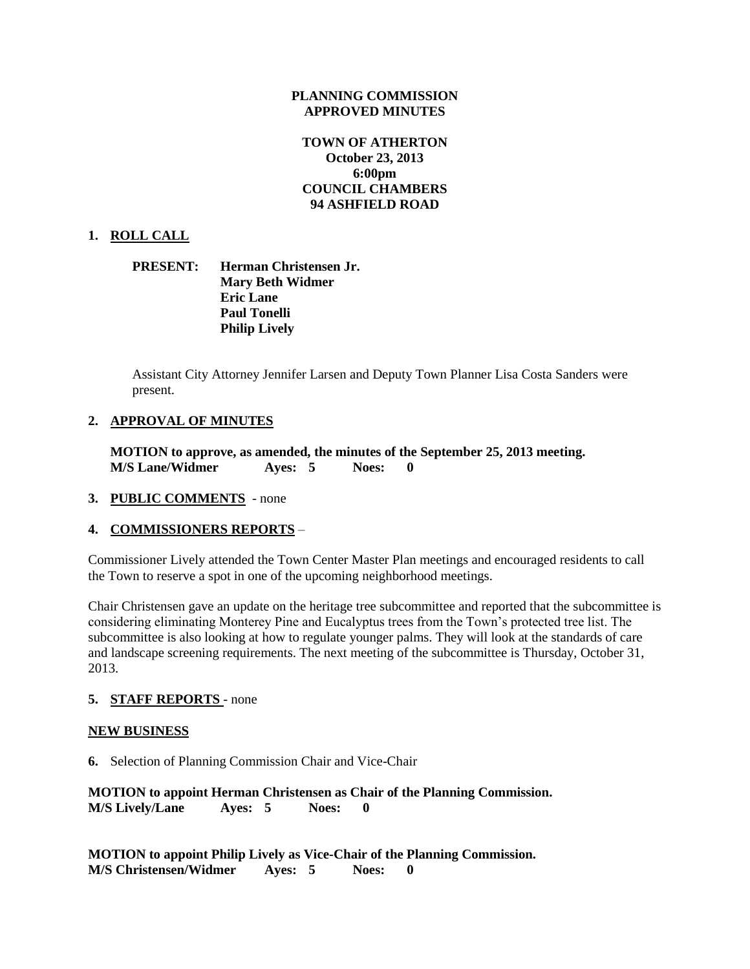### **PLANNING COMMISSION APPROVED MINUTES**

# **TOWN OF ATHERTON October 23, 2013 6:00pm COUNCIL CHAMBERS 94 ASHFIELD ROAD**

## **1. ROLL CALL**

## **PRESENT: Herman Christensen Jr. Mary Beth Widmer Eric Lane Paul Tonelli Philip Lively**

Assistant City Attorney Jennifer Larsen and Deputy Town Planner Lisa Costa Sanders were present.

# **2. APPROVAL OF MINUTES**

**MOTION to approve, as amended, the minutes of the September 25, 2013 meeting. M/S Lane/Widmer Ayes: 5 Noes: 0** 

## **3. PUBLIC COMMENTS** - none

## **4. COMMISSIONERS REPORTS** –

Commissioner Lively attended the Town Center Master Plan meetings and encouraged residents to call the Town to reserve a spot in one of the upcoming neighborhood meetings.

Chair Christensen gave an update on the heritage tree subcommittee and reported that the subcommittee is considering eliminating Monterey Pine and Eucalyptus trees from the Town's protected tree list. The subcommittee is also looking at how to regulate younger palms. They will look at the standards of care and landscape screening requirements. The next meeting of the subcommittee is Thursday, October 31, 2013.

## **5. STAFF REPORTS** - none

#### **NEW BUSINESS**

**6.** Selection of Planning Commission Chair and Vice-Chair

**MOTION to appoint Herman Christensen as Chair of the Planning Commission. M/S Lively/Lane Ayes: 5 Noes: 0** 

**MOTION to appoint Philip Lively as Vice-Chair of the Planning Commission. M/S Christensen/Widmer Ayes: 5 Noes: 0**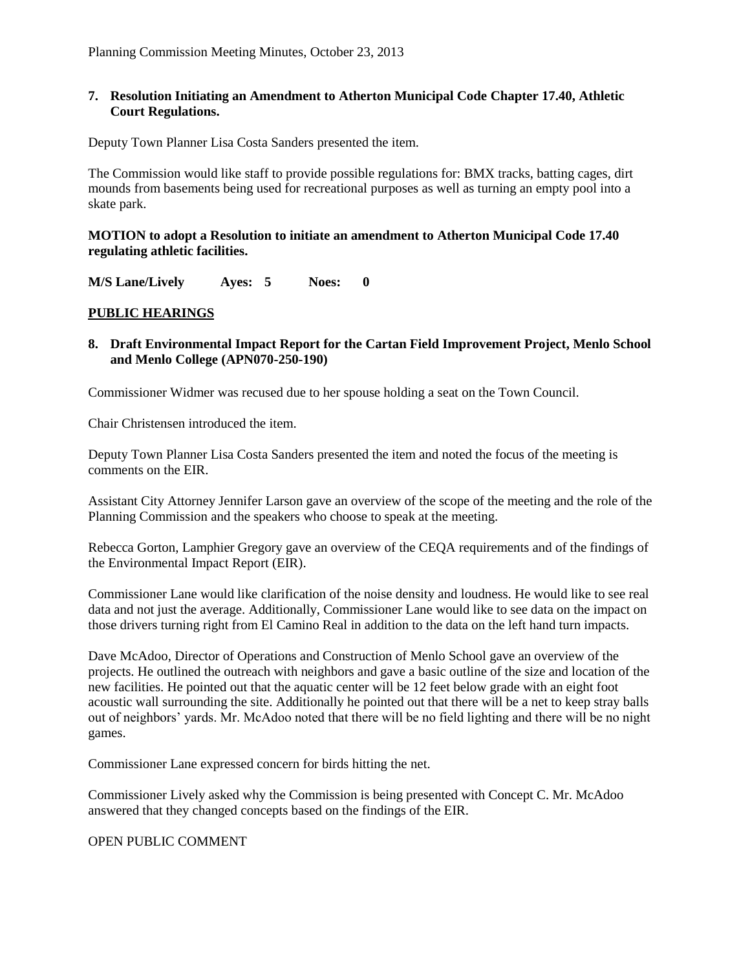### **7. Resolution Initiating an Amendment to Atherton Municipal Code Chapter 17.40, Athletic Court Regulations.**

Deputy Town Planner Lisa Costa Sanders presented the item.

The Commission would like staff to provide possible regulations for: BMX tracks, batting cages, dirt mounds from basements being used for recreational purposes as well as turning an empty pool into a skate park.

**MOTION to adopt a Resolution to initiate an amendment to Atherton Municipal Code 17.40 regulating athletic facilities.**

**M/S Lane/Lively Ayes: 5 Noes: 0** 

# **PUBLIC HEARINGS**

### **8. Draft Environmental Impact Report for the Cartan Field Improvement Project, Menlo School and Menlo College (APN070-250-190)**

Commissioner Widmer was recused due to her spouse holding a seat on the Town Council.

Chair Christensen introduced the item.

Deputy Town Planner Lisa Costa Sanders presented the item and noted the focus of the meeting is comments on the EIR.

Assistant City Attorney Jennifer Larson gave an overview of the scope of the meeting and the role of the Planning Commission and the speakers who choose to speak at the meeting.

Rebecca Gorton, Lamphier Gregory gave an overview of the CEQA requirements and of the findings of the Environmental Impact Report (EIR).

Commissioner Lane would like clarification of the noise density and loudness. He would like to see real data and not just the average. Additionally, Commissioner Lane would like to see data on the impact on those drivers turning right from El Camino Real in addition to the data on the left hand turn impacts.

Dave McAdoo, Director of Operations and Construction of Menlo School gave an overview of the projects. He outlined the outreach with neighbors and gave a basic outline of the size and location of the new facilities. He pointed out that the aquatic center will be 12 feet below grade with an eight foot acoustic wall surrounding the site. Additionally he pointed out that there will be a net to keep stray balls out of neighbors' yards. Mr. McAdoo noted that there will be no field lighting and there will be no night games.

Commissioner Lane expressed concern for birds hitting the net.

Commissioner Lively asked why the Commission is being presented with Concept C. Mr. McAdoo answered that they changed concepts based on the findings of the EIR.

OPEN PUBLIC COMMENT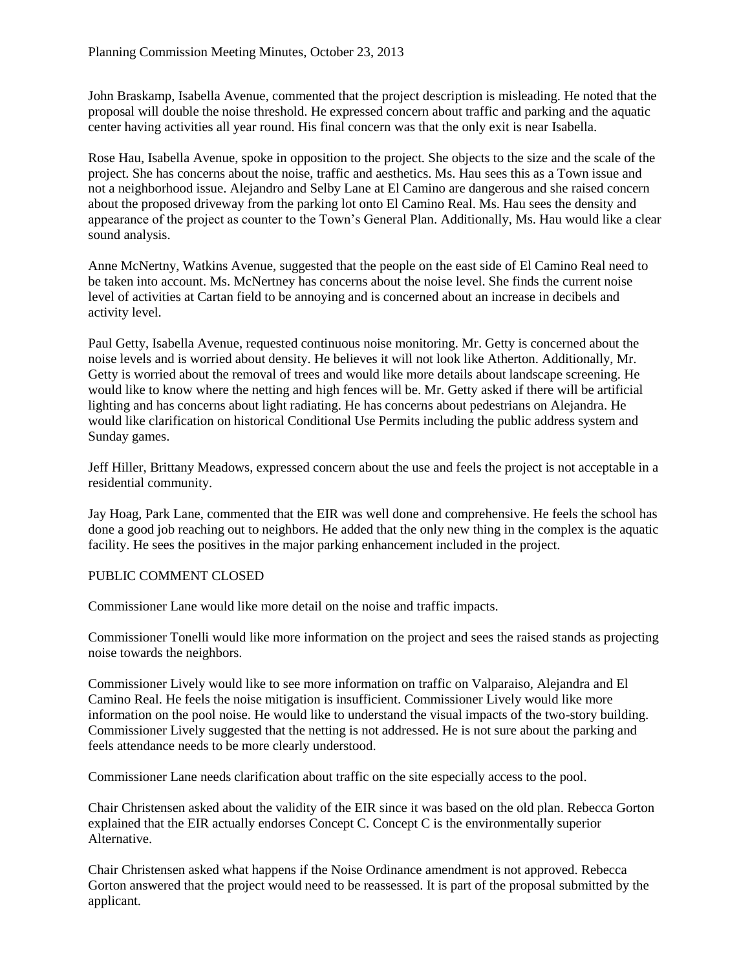John Braskamp, Isabella Avenue, commented that the project description is misleading. He noted that the proposal will double the noise threshold. He expressed concern about traffic and parking and the aquatic center having activities all year round. His final concern was that the only exit is near Isabella.

Rose Hau, Isabella Avenue, spoke in opposition to the project. She objects to the size and the scale of the project. She has concerns about the noise, traffic and aesthetics. Ms. Hau sees this as a Town issue and not a neighborhood issue. Alejandro and Selby Lane at El Camino are dangerous and she raised concern about the proposed driveway from the parking lot onto El Camino Real. Ms. Hau sees the density and appearance of the project as counter to the Town's General Plan. Additionally, Ms. Hau would like a clear sound analysis.

Anne McNertny, Watkins Avenue, suggested that the people on the east side of El Camino Real need to be taken into account. Ms. McNertney has concerns about the noise level. She finds the current noise level of activities at Cartan field to be annoying and is concerned about an increase in decibels and activity level.

Paul Getty, Isabella Avenue, requested continuous noise monitoring. Mr. Getty is concerned about the noise levels and is worried about density. He believes it will not look like Atherton. Additionally, Mr. Getty is worried about the removal of trees and would like more details about landscape screening. He would like to know where the netting and high fences will be. Mr. Getty asked if there will be artificial lighting and has concerns about light radiating. He has concerns about pedestrians on Alejandra. He would like clarification on historical Conditional Use Permits including the public address system and Sunday games.

Jeff Hiller, Brittany Meadows, expressed concern about the use and feels the project is not acceptable in a residential community.

Jay Hoag, Park Lane, commented that the EIR was well done and comprehensive. He feels the school has done a good job reaching out to neighbors. He added that the only new thing in the complex is the aquatic facility. He sees the positives in the major parking enhancement included in the project.

## PUBLIC COMMENT CLOSED

Commissioner Lane would like more detail on the noise and traffic impacts.

Commissioner Tonelli would like more information on the project and sees the raised stands as projecting noise towards the neighbors.

Commissioner Lively would like to see more information on traffic on Valparaiso, Alejandra and El Camino Real. He feels the noise mitigation is insufficient. Commissioner Lively would like more information on the pool noise. He would like to understand the visual impacts of the two-story building. Commissioner Lively suggested that the netting is not addressed. He is not sure about the parking and feels attendance needs to be more clearly understood.

Commissioner Lane needs clarification about traffic on the site especially access to the pool.

Chair Christensen asked about the validity of the EIR since it was based on the old plan. Rebecca Gorton explained that the EIR actually endorses Concept C. Concept C is the environmentally superior Alternative.

Chair Christensen asked what happens if the Noise Ordinance amendment is not approved. Rebecca Gorton answered that the project would need to be reassessed. It is part of the proposal submitted by the applicant.